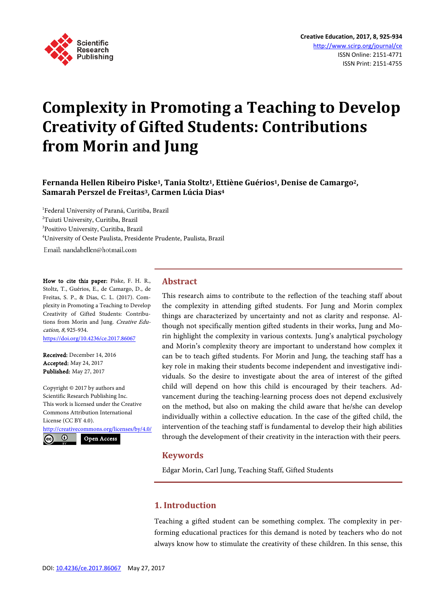

# **Complexity in Promoting a Teaching to Develop Creativity of Gifted Students: Contributions from Morin and Jung**

# **Fernanda Hellen Ribeiro Piske1, Tania Stoltz1, Ettiène Guérios1, Denise de Camargo2, Samarah Perszel de Freitas3, Carmen Lúcia Dias4**

 Federal University of Paraná, Curitiba, Brazil Tuiuti University, Curitiba, Brazil Positivo University, Curitiba, Brazil University of Oeste Paulista, Presidente Prudente, Paulista, Brazil Email: nandahellen@hotmail.com

How to cite this paper: Piske, F. H. R., Stoltz, T., Guérios, E., de Camargo, D., de Freitas, S. P., & Dias, C. L. (2017). Complexity in Promoting a Teaching to Develop Creativity of Gifted Students: Contributions from Morin and Jung. Creative Education, 8, 925-934. <https://doi.org/10.4236/ce.2017.86067>

Received: December 14, 2016 Accepted: May 24, 2017 Published: May 27, 2017

Copyright © 2017 by authors and Scientific Research Publishing Inc. This work is licensed under the Creative Commons Attribution International License (CC BY 4.0). <http://creativecommons.org/licenses/by/4.0/>

 $\odot$ Open Access

# **Abstract**

This research aims to contribute to the reflection of the teaching staff about the complexity in attending gifted students. For Jung and Morin complex things are characterized by uncertainty and not as clarity and response. Although not specifically mention gifted students in their works, Jung and Morin highlight the complexity in various contexts. Jung's analytical psychology and Morin's complexity theory are important to understand how complex it can be to teach gifted students. For Morin and Jung, the teaching staff has a key role in making their students become independent and investigative individuals. So the desire to investigate about the area of interest of the gifted child will depend on how this child is encouraged by their teachers. Advancement during the teaching-learning process does not depend exclusively on the method, but also on making the child aware that he/she can develop individually within a collective education. In the case of the gifted child, the intervention of the teaching staff is fundamental to develop their high abilities through the development of their creativity in the interaction with their peers.

# **Keywords**

Edgar Morin, Carl Jung, Teaching Staff, Gifted Students

#### **1. Introduction**

Teaching a gifted student can be something complex. The complexity in performing educational practices for this demand is noted by teachers who do not always know how to stimulate the creativity of these children. In this sense, this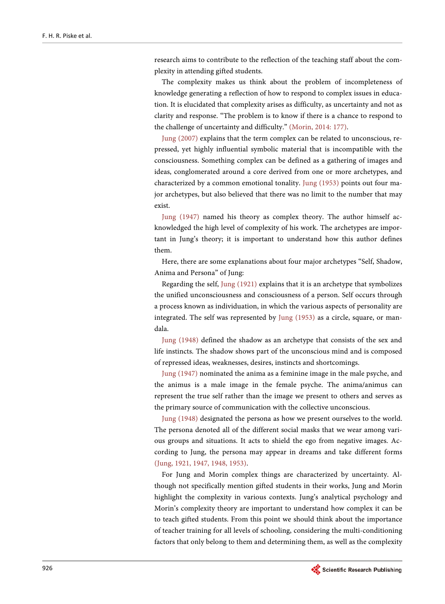research aims to contribute to the reflection of the teaching staff about the complexity in attending gifted students.

The complexity makes us think about the problem of incompleteness of knowledge generating a reflection of how to respond to complex issues in education. It is elucidated that complexity arises as difficulty, as uncertainty and not as clarity and response. "The problem is to know if there is a chance to respond to the challenge of uncertainty and difficulty." [\(Morin, 2014:](#page-8-0) 177).

[Jung \(2007\)](#page-7-0) explains that the term complex can be related to unconscious, repressed, yet highly influential symbolic material that is incompatible with the consciousness. Something complex can be defined as a gathering of images and ideas, conglomerated around a core derived from one or more archetypes, and characterized by a common emotional tonality. [Jung \(1953\)](#page-7-1) points out four major archetypes, but also believed that there was no limit to the number that may exist.

[Jung \(1947\)](#page-7-2) named his theory as complex theory. The author himself acknowledged the high level of complexity of his work. The archetypes are important in Jung's theory; it is important to understand how this author defines them.

Here, there are some explanations about four major archetypes "Self, Shadow, Anima and Persona" of Jung:

Regarding the self, [Jung \(1921\)](#page-7-3) explains that it is an archetype that symbolizes the unified unconsciousness and consciousness of a person. Self occurs through a process known as individuation, in which the various aspects of personality are integrated. The self was represented by [Jung \(1953\)](#page-7-1) as a circle, square, or mandala.

[Jung \(1948\)](#page-7-4) defined the shadow as an archetype that consists of the sex and life instincts. The shadow shows part of the unconscious mind and is composed of repressed ideas, weaknesses, desires, instincts and shortcomings.

[Jung \(1947\)](#page-7-2) nominated the anima as a feminine image in the male psyche, and the animus is a male image in the female psyche. The anima/animus can represent the true self rather than the image we present to others and serves as the primary source of communication with the collective unconscious.

[Jung \(1948\)](#page-7-4) designated the persona as how we present ourselves to the world. The persona denoted all of the different social masks that we wear among various groups and situations. It acts to shield the ego from negative images. According to Jung, the persona may appear in dreams and take different forms [\(Jung,](#page-7-3) 1921, 1947, 1948, 1953).

For Jung and Morin complex things are characterized by uncertainty. Although not specifically mention gifted students in their works, Jung and Morin highlight the complexity in various contexts. Jung's analytical psychology and Morin's complexity theory are important to understand how complex it can be to teach gifted students. From this point we should think about the importance of teacher training for all levels of schooling, considering the multi-conditioning factors that only belong to them and determining them, as well as the complexity

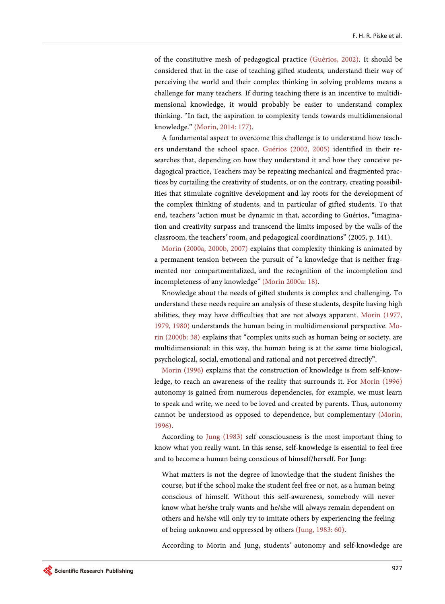of the constitutive mesh of pedagogical practice [\(Guérios, 2002\)](#page-7-5). It should be considered that in the case of teaching gifted students, understand their way of perceiving the world and their complex thinking in solving problems means a challenge for many teachers. If during teaching there is an incentive to multidimensional knowledge, it would probably be easier to understand complex thinking. "In fact, the aspiration to complexity tends towards multidimensional knowledge." [\(Morin, 2014: 177\)](#page-8-0).

A fundamental aspect to overcome this challenge is to understand how teachers understand the school space. [Guérios \(2002, 2005\)](#page-7-5) identified in their researches that, depending on how they understand it and how they conceive pedagogical practice, Teachers may be repeating mechanical and fragmented practices by curtailing the creativity of students, or on the contrary, creating possibilities that stimulate cognitive development and lay roots for the development of the complex thinking of students, and in particular of gifted students. To that end, teachers 'action must be dynamic in that, according to Guérios, "imagination and creativity surpass and transcend the limits imposed by the walls of the classroom, the teachers' room, and pedagogical coordinations" (2005, p. 141).

[Morin \(2000a, 2000b, 2007\)](#page-8-1) explains that complexity thinking is animated by a permanent tension between the pursuit of "a knowledge that is neither fragmented nor compartmentalized, and the recognition of the incompletion and incompleteness of any knowledge" [\(Morin 2000a: 18\)](#page-8-1).

Knowledge about the needs of gifted students is complex and challenging. To understand these needs require an analysis of these students, despite having high abilities, they may have difficulties that are not always apparent. [Morin \(1977,](#page-8-2)  [1979, 1980\)](#page-8-2) understands the human being in multidimensional perspective. [Mo](#page-8-3)[rin \(2000b: 38\)](#page-8-3) explains that "complex units such as human being or society, are multidimensional: in this way, the human being is at the same time biological, psychological, social, emotional and rational and not perceived directly".

[Morin \(1996\)](#page-8-4) explains that the construction of knowledge is from self-knowledge, to reach an awareness of the reality that surrounds it. For [Morin \(1996\)](#page-8-4) autonomy is gained from numerous dependencies, for example, we must learn to speak and write, we need to be loved and created by parents. Thus, autonomy cannot be understood as opposed to dependence, but complementary [\(Morin,](#page-8-4)  [1996\)](#page-8-4).

According to [Jung \(1983\)](#page-7-6) self consciousness is the most important thing to know what you really want. In this sense, self-knowledge is essential to feel free and to become a human being conscious of himself/herself. For Jung:

What matters is not the degree of knowledge that the student finishes the course, but if the school make the student feel free or not, as a human being conscious of himself. Without this self-awareness, somebody will never know what he/she truly wants and he/she will always remain dependent on others and he/she will only try to imitate others by experiencing the feeling of being unknown and oppressed by others [\(Jung, 1983:](#page-7-6) 60).

According to Morin and Jung, students' autonomy and self-knowledge are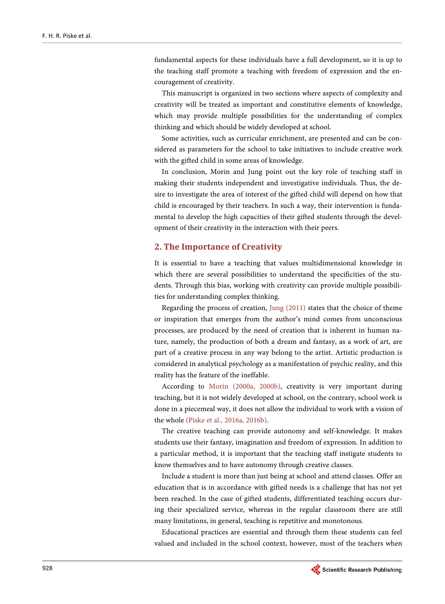fundamental aspects for these individuals have a full development, so it is up to the teaching staff promote a teaching with freedom of expression and the encouragement of creativity.

This manuscript is organized in two sections where aspects of complexity and creativity will be treated as important and constitutive elements of knowledge, which may provide multiple possibilities for the understanding of complex thinking and which should be widely developed at school.

Some activities, such as curricular enrichment, are presented and can be considered as parameters for the school to take initiatives to include creative work with the gifted child in some areas of knowledge.

In conclusion, Morin and Jung point out the key role of teaching staff in making their students independent and investigative individuals. Thus, the desire to investigate the area of interest of the gifted child will depend on how that child is encouraged by their teachers. In such a way, their intervention is fundamental to develop the high capacities of their gifted students through the development of their creativity in the interaction with their peers.

# **2. The Importance of Creativity**

It is essential to have a teaching that values multidimensional knowledge in which there are several possibilities to understand the specificities of the students. Through this bias, working with creativity can provide multiple possibilities for understanding complex thinking.

Regarding the process of creation, [Jung \(2011\)](#page-7-7) states that the choice of theme or inspiration that emerges from the author's mind comes from unconscious processes, are produced by the need of creation that is inherent in human nature, namely, the production of both a dream and fantasy, as a work of art, are part of a creative process in any way belong to the artist. Artistic production is considered in analytical psychology as a manifestation of psychic reality, and this reality has the feature of the ineffable.

According to [Morin \(2000a, 2000b\),](#page-8-1) creativity is very important during teaching, but it is not widely developed at school, on the contrary, school work is done in a piecemeal way, it does not allow the individual to work with a vision of the whole (Piske et al., [2016a, 2016b\)](#page-8-5).

The creative teaching can provide autonomy and self-knowledge. It makes students use their fantasy, imagination and freedom of expression. In addition to a particular method, it is important that the teaching staff instigate students to know themselves and to have autonomy through creative classes.

Include a student is more than just being at school and attend classes. Offer an education that is in accordance with gifted needs is a challenge that has not yet been reached. In the case of gifted students, differentiated teaching occurs during their specialized service, whereas in the regular classroom there are still many limitations, in general, teaching is repetitive and monotonous.

Educational practices are essential and through them these students can feel valued and included in the school context, however, most of the teachers when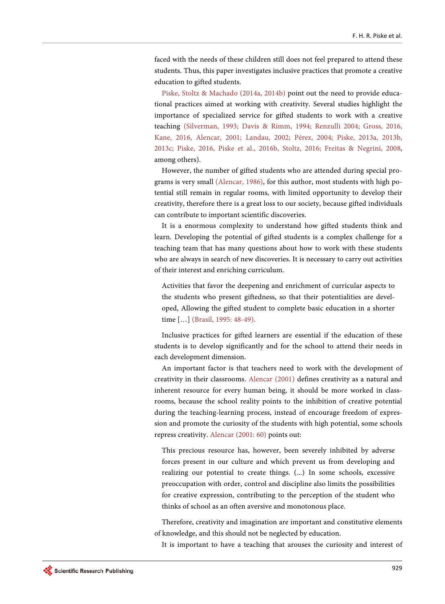faced with the needs of these children still does not feel prepared to attend these students. Thus, this paper investigates inclusive practices that promote a creative education to gifted students.

[Piske, Stoltz & Machado \(2014a, 2014b\)](#page-8-6) point out the need to provide educational practices aimed at working with creativity. Several studies highlight the importance of specialized service for gifted students to work with a creative teaching [\(Silverman, 1993;](#page-9-0) [Davis & Rimm, 1994;](#page-7-8) [Renzulli 2004;](#page-9-1) [Gross, 2016,](#page-7-9)  [Kane, 2016,](#page-7-10) [Alencar, 2001;](#page-6-0) [Landau, 2002;](#page-7-11) [Pérez, 2004;](#page-8-7) [Piske, 2013a, 2013b,](#page-8-8)  [2013c;](#page-8-8) [Piske, 2016,](#page-8-9) [Piske et al., 2016b,](#page-8-10) [Stoltz, 2016;](#page-9-2) [Freitas & Negrini, 2008,](#page-7-12)  among others).

However, the number of gifted students who are attended during special programs is very small [\(Alencar, 1986\)](#page-6-1), for this author, most students with high potential still remain in regular rooms, with limited opportunity to develop their creativity, therefore there is a great loss to our society, because gifted individuals can contribute to important scientific discoveries.

It is a enormous complexity to understand how gifted students think and learn. Developing the potential of gifted students is a complex challenge for a teaching team that has many questions about how to work with these students who are always in search of new discoveries. It is necessary to carry out activities of their interest and enriching curriculum.

Activities that favor the deepening and enrichment of curricular aspects to the students who present giftedness, so that their potentialities are developed, Allowing the gifted student to complete basic education in a shorter time […] [\(Brasil, 1995: 48-49\)](#page-7-13).

Inclusive practices for gifted learners are essential if the education of these students is to develop significantly and for the school to attend their needs in each development dimension.

An important factor is that teachers need to work with the development of creativity in their classrooms. [Alencar \(2001\)](#page-6-0) defines creativity as a natural and inherent resource for every human being, it should be more worked in classrooms, because the school reality points to the inhibition of creative potential during the teaching-learning process, instead of encourage freedom of expression and promote the curiosity of the students with high potential, some schools repress creativity. [Alencar \(2001:](#page-6-0) 60) points out:

This precious resource has, however, been severely inhibited by adverse forces present in our culture and which prevent us from developing and realizing our potential to create things. (...) In some schools, excessive preoccupation with order, control and discipline also limits the possibilities for creative expression, contributing to the perception of the student who thinks of school as an often aversive and monotonous place.

Therefore, creativity and imagination are important and constitutive elements of knowledge, and this should not be neglected by education.

It is important to have a teaching that arouses the curiosity and interest of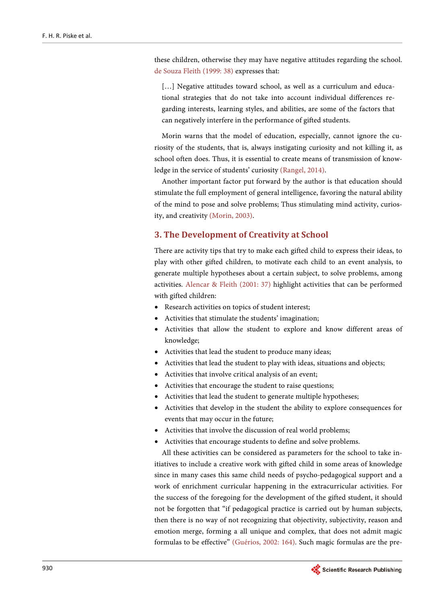these children, otherwise they may have negative attitudes regarding the school. [de Souza Fleith](#page-7-14) (1999: 38) expresses that:

[...] Negative attitudes toward school, as well as a curriculum and educational strategies that do not take into account individual differences regarding interests, learning styles, and abilities, are some of the factors that can negatively interfere in the performance of gifted students.

Morin warns that the model of education, especially, cannot ignore the curiosity of the students, that is, always instigating curiosity and not killing it, as school often does. Thus, it is essential to create means of transmission of knowledge in the service of students' curiosity [\(Rangel, 2014\)](#page-8-11).

Another important factor put forward by the author is that education should stimulate the full employment of general intelligence, favoring the natural ability of the mind to pose and solve problems; Thus stimulating mind activity, curiosity, and creativity [\(Morin, 2003\)](#page-8-12).

### **3. The Development of Creativity at School**

There are activity tips that try to make each gifted child to express their ideas, to play with other gifted children, to motivate each child to an event analysis, to generate multiple hypotheses about a certain subject, to solve problems, among activities. [Alencar & Fleith \(2001:](#page-6-2) 37) highlight activities that can be performed with gifted children:

- Research activities on topics of student interest;
- Activities that stimulate the students' imagination;
- Activities that allow the student to explore and know different areas of knowledge;
- Activities that lead the student to produce many ideas;
- Activities that lead the student to play with ideas, situations and objects;
- Activities that involve critical analysis of an event;
- Activities that encourage the student to raise questions;
- Activities that lead the student to generate multiple hypotheses;
- Activities that develop in the student the ability to explore consequences for events that may occur in the future;
- Activities that involve the discussion of real world problems;
- Activities that encourage students to define and solve problems.

All these activities can be considered as parameters for the school to take initiatives to include a creative work with gifted child in some areas of knowledge since in many cases this same child needs of psycho-pedagogical support and a work of enrichment curricular happening in the extracurricular activities. For the success of the foregoing for the development of the gifted student, it should not be forgotten that "if pedagogical practice is carried out by human subjects, then there is no way of not recognizing that objectivity, subjectivity, reason and emotion merge, forming a all unique and complex, that does not admit magic formulas to be effective" [\(Guérios, 2002: 164\)](#page-7-5). Such magic formulas are the pre-

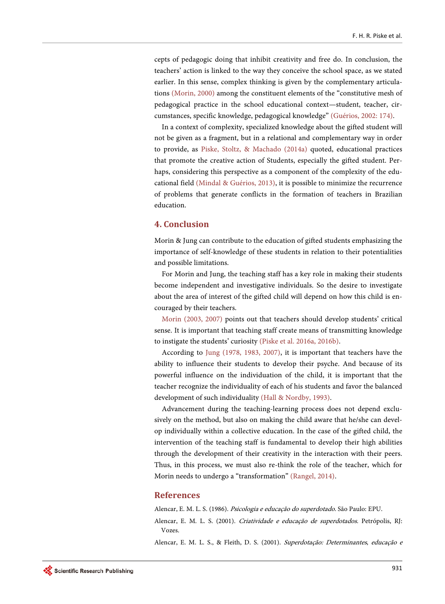cepts of pedagogic doing that inhibit creativity and free do. In conclusion, the teachers' action is linked to the way they conceive the school space, as we stated earlier. In this sense, complex thinking is given by the complementary articulations [\(Morin, 2000\)](#page-8-1) among the constituent elements of the "constitutive mesh of pedagogical practice in the school educational context—student, teacher, circumstances, specific knowledge, pedagogical knowledge" [\(Guérios, 2002: 174\)](#page-7-5).

In a context of complexity, specialized knowledge about the gifted student will not be given as a fragment, but in a relational and complementary way in order to provide, as Piske, Stoltz, [& Machado \(2014a\)](#page-8-6) quoted, educational practices that promote the creative action of Students, especially the gifted student. Perhaps, considering this perspective as a component of the complexity of the educational field [\(Mindal & Guérios, 2013\)](#page-7-15), it is possible to minimize the recurrence of problems that generate conflicts in the formation of teachers in Brazilian education.

#### **4. Conclusion**

Morin & Jung can contribute to the education of gifted students emphasizing the importance of self-knowledge of these students in relation to their potentialities and possible limitations.

For Morin and Jung, the teaching staff has a key role in making their students become independent and investigative individuals. So the desire to investigate about the area of interest of the gifted child will depend on how this child is encouraged by their teachers.

[Morin \(2003, 2007\)](#page-8-12) points out that teachers should develop students' critical sense. It is important that teaching staff create means of transmitting knowledge to instigate the students' curiosity [\(Piske et al. 2016a, 2016b\)](#page-8-5).

According to [Jung \(1978, 1983, 2007\),](#page-7-16) it is important that teachers have the ability to influence their students to develop their psyche. And because of its powerful influence on the individuation of the child, it is important that the teacher recognize the individuality of each of his students and favor the balanced development of such individuality [\(Hall & Nordby, 1993\)](#page-7-17).

Advancement during the teaching-learning process does not depend exclusively on the method, but also on making the child aware that he/she can develop individually within a collective education. In the case of the gifted child, the intervention of the teaching staff is fundamental to develop their high abilities through the development of their creativity in the interaction with their peers. Thus, in this process, we must also re-think the role of the teacher, which for Morin needs to undergo a "transformation" [\(Rangel, 2014\)](#page-8-11).

#### **References**

Alencar, E. M. L. S. (1986). Psicologia e educação do superdotado. São Paulo: EPU.

<span id="page-6-2"></span><span id="page-6-1"></span><span id="page-6-0"></span>Alencar, E. M. L. S. (2001). Criatividade e educação de superdotados. Petrópolis, RJ: Vozes.

Alencar, E. M. L. S., & Fleith, D. S. (2001). Superdotação: Determinantes, educação e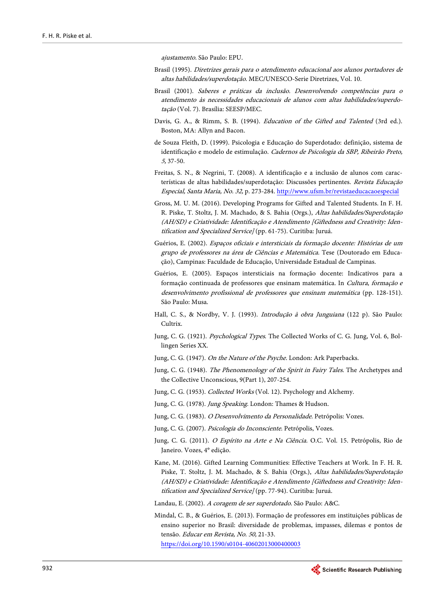ajustamento. São Paulo: EPU.

- <span id="page-7-13"></span>Brasil (1995). Diretrizes gerais para o atendimento educacional aos alunos portadores de altas habilidades/superdotação. MEC/UNESCO-Serie Diretrizes, Vol. 10.
- Brasil (2001). Saberes e práticas da inclusão. Desenvolvendo competências para o atendimento às necessidades educacionais de alunos com altas habilidades/superdotação (Vol. 7). Brasília: SEESP/MEC.
- <span id="page-7-8"></span>Davis, G. A., & Rimm, S. B. (1994). Education of the Gifted and Talented (3rd ed.). Boston, MA: Allyn and Bacon.
- <span id="page-7-14"></span>de Souza Fleith, D. (1999). Psicologia e Educação do Superdotado: definição, sistema de identificação e modelo de estimulação. Cadernos de Psicologia da SBP, Ribeirão Preto, 5, 37-50.
- <span id="page-7-12"></span>Freitas, S. N., & Negrini, T. (2008). A identificação e a inclusão de alunos com características de altas habilidades/superdotação: Discussões pertinentes. Revista Educação Especial, Santa Maria, No. 32, p. 273-284[. http://www.ufsm.br/revistaeducacaoespecial](http://www.ufsm.br/revistaeducacaoespecial)
- <span id="page-7-9"></span>Gross, M. U. M. (2016). Developing Programs for Gifted and Talented Students. In F. H. R. Piske, T. Stoltz, J. M. Machado, & S. Bahia (Orgs.), Altas habilidades/Superdotação (AH/SD) e Criatividade: Identificação e Atendimento [Giftedness and Creativity: Identification and Specialized Service] (pp. 61-75). Curitiba: Juruá.
- <span id="page-7-5"></span>Guérios, E. (2002). Espaços oficiais e intersticiais da formação docente: Histórias de um grupo de professores na área de Ciências e Matemática. Tese (Doutorado em Educação), Campinas: Faculdade de Educação, Universidade Estadual de Campinas.
- Guérios, E. (2005). Espaços intersticiais na formação docente: Indicativos para a formação continuada de professores que ensinam matemática. In Cultura, formação e desenvolvimento profissional de professores que ensinam matemática (pp. 128-151). São Paulo: Musa.
- <span id="page-7-17"></span>Hall, C. S., & Nordby, V. J. (1993). Introdução à obra Junguiana (122 p). São Paulo: Cultrix.
- <span id="page-7-3"></span>Jung, C. G. (1921). Psychological Types. The Collected Works of C. G. Jung, Vol. 6, Bollingen Series XX.
- <span id="page-7-2"></span>Jung, C. G. (1947). On the Nature of the Psyche. London: Ark Paperbacks.
- <span id="page-7-4"></span>Jung, C. G. (1948). The Phenomenology of the Spirit in Fairy Tales. The Archetypes and the Collective Unconscious, 9(Part 1), 207-254.
- <span id="page-7-1"></span>Jung, C. G. (1953). Collected Works (Vol. 12). Psychology and Alchemy.
- <span id="page-7-16"></span>Jung, C. G. (1978). Jung Speaking. London: Thames & Hudson.
- <span id="page-7-6"></span>Jung, C. G. (1983). O Desenvolvimento da Personalidade. Petrópolis: Vozes.
- <span id="page-7-0"></span>Jung, C. G. (2007). Psicologia do Inconsciente. Petrópolis, Vozes.
- <span id="page-7-7"></span>Jung, C. G. (2011). O Espírito na Arte e Na Ciência. O.C. Vol. 15. Petrópolis, Rio de Janeiro. Vozes, 4° edição.
- <span id="page-7-10"></span>Kane, M. (2016). Gifted Learning Communities: Effective Teachers at Work. In F. H. R. Piske, T. Stoltz, J. M. Machado, & S. Bahia (Orgs.), Altas habilidades/Superdotação (AH/SD) e Criatividade: Identificação e Atendimento [Giftedness and Creativity: Identification and Specialized Service] (pp. 77-94). Curitiba: Juruá.
- <span id="page-7-11"></span>Landau, E. (2002). A coragem de ser superdotado. São Paulo: A&C.
- <span id="page-7-15"></span>Mindal, C. B., & Guérios, E. (2013). Formação de professores em instituições públicas de ensino superior no Brasil: diversidade de problemas, impasses, dilemas e pontos de tensão. Educar em Revista, No. 50, 21-33. <https://doi.org/10.1590/s0104-40602013000400003>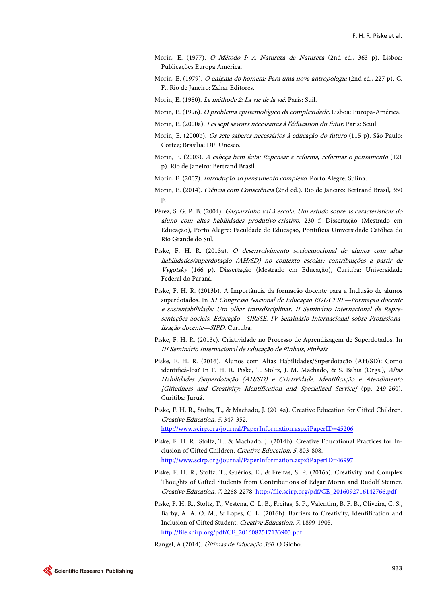- <span id="page-8-2"></span>Morin, E. (1977). O Método I: A Natureza da Natureza (2nd ed., 363 p). Lisboa: Publicações Europa América.
- Morin, E. (1979). O enigma do homem: Para uma nova antropologia (2nd ed., 227 p). C. F., Rio de Janeiro: Zahar Editores.
- Morin, E. (1980). La méthode 2: La vie de la vié. Paris: Suil.
- <span id="page-8-4"></span>Morin, E. (1996). O problema epistemológico da complexidade. Lisboa: Europa-América.
- <span id="page-8-1"></span>Morin, E. (2000a). Les sept savoirs nécessaires à l'éducation du futur. Paris: Seuil.
- <span id="page-8-3"></span>Morin, E. (2000b). Os sete saberes necessários à educação do futuro (115 p). São Paulo: Cortez; Brasília; DF: Unesco.
- <span id="page-8-12"></span>Morin, E. (2003). A cabeça bem feita: Repensar a reforma, reformar o pensamento (121 p). Rio de Janeiro: Bertrand Brasil.
- Morin, E. (2007). Introdução ao pensamento complexo. Porto Alegre: Sulina.
- <span id="page-8-0"></span>Morin, E. (2014). Ciência com Consciência (2nd ed.). Rio de Janeiro: Bertrand Brasil, 350 p.
- <span id="page-8-7"></span>Pérez, S. G. P. B. (2004). Gasparzinho vai à escola: Um estudo sobre as características do aluno com altas habilidades produtivo-criativo. 230 f. Dissertação (Mestrado em Educação), Porto Alegre: Faculdade de Educação, Pontifícia Universidade Católica do Rio Grande do Sul.
- <span id="page-8-8"></span>Piske, F. H. R. (2013a). O desenvolvimento socioemocional de alunos com altas habilidades/superdotação (AH/SD) no contexto escolar: contribuições a partir de Vygotsky (166 p). Dissertação (Mestrado em Educação), Curitiba: Universidade Federal do Paraná.
- <span id="page-8-10"></span>Piske, F. H. R. (2013b). A Importância da formação docente para a Inclusão de alunos superdotados. In XI Congresso Nacional de Educação EDUCERE—Formação docente e sustentabilidade: Um olhar transdisciplinar. II Seminário Internacional de Representações Sociais, Educação—SIRSSE. IV Seminário Internacional sobre Profissionalização docente—SIPD, Curitiba.
- Piske, F. H. R. (2013c). Criatividade no Processo de Aprendizagem de Superdotados. In III Seminário Internacional de Educação de Pinhais, Pinhais.
- <span id="page-8-9"></span>Piske, F. H. R. (2016). Alunos com Altas Habilidades/Superdotação (AH/SD): Como identificá-los? In F. H. R. Piske, T. Stoltz, J. M. Machado, & S. Bahia (Orgs.), Altas Habilidades /Superdotação (AH/SD) e Criatividade: Identificação e Atendimento [Giftedness and Creativity: Identification and Specialized Service] (pp. 249-260). Curitiba: Juruá.
- <span id="page-8-6"></span>Piske, F. H. R., Stoltz, T., & Machado, J. (2014a). Creative Education for Gifted Children. Creative Education, 5, 347-352. <http://www.scirp.org/journal/PaperInformation.aspx?PaperID=45206>
- Piske, F. H. R., Stoltz, T., & Machado, J. (2014b). Creative Educational Practices for Inclusion of Gifted Children. Creative Education, 5, 803-808. <http://www.scirp.org/journal/PaperInformation.aspx?PaperID=46997>
- <span id="page-8-5"></span>Piske, F. H. R., Stoltz, T., Guérios, E., & Freitas, S. P. (2016a). Creativity and Complex Thoughts of Gifted Students from Contributions of Edgar Morin and Rudolf Steiner. Creative Education, 7, 2268-2278. [http://file.scirp.org/pdf/CE\\_2016092716142766.pdf](http://file.scirp.org/pdf/CE_2016092716142766.pdf)
- Piske, F. H. R., Stoltz, T., Vestena, C. L. B., Freitas, S. P., Valentim, B. F. B., Oliveira, C. S., Barby, A. A. O. M., & Lopes, C. L. (2016b). Barriers to Creativity, Identification and Inclusion of Gifted Student. Creative Education, 7, 1899-1905. [http://file.scirp.org/pdf/CE\\_2016082517133903.pdf](http://file.scirp.org/pdf/CE_2016082517133903.pdf)

<span id="page-8-11"></span>Rangel, A (2014). Últimas de Educação 360. O Globo.